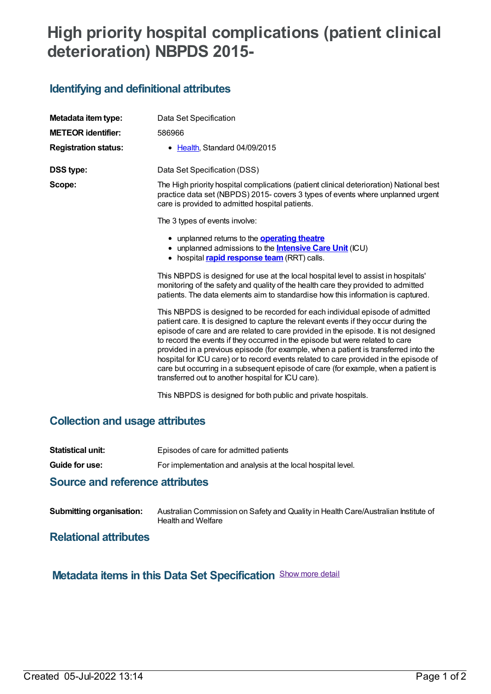# **High priority hospital complications (patient clinical deterioration) NBPDS 2015-**

# **Identifying and definitional attributes**

| Metadata item type:         | Data Set Specification                                                                                                                                                                                                                                                                                                                                                                                                                                                                                                                                                                                                                                                    |
|-----------------------------|---------------------------------------------------------------------------------------------------------------------------------------------------------------------------------------------------------------------------------------------------------------------------------------------------------------------------------------------------------------------------------------------------------------------------------------------------------------------------------------------------------------------------------------------------------------------------------------------------------------------------------------------------------------------------|
|                             |                                                                                                                                                                                                                                                                                                                                                                                                                                                                                                                                                                                                                                                                           |
| <b>METEOR identifier:</b>   | 586966                                                                                                                                                                                                                                                                                                                                                                                                                                                                                                                                                                                                                                                                    |
| <b>Registration status:</b> | • Health, Standard 04/09/2015                                                                                                                                                                                                                                                                                                                                                                                                                                                                                                                                                                                                                                             |
| <b>DSS type:</b>            | Data Set Specification (DSS)                                                                                                                                                                                                                                                                                                                                                                                                                                                                                                                                                                                                                                              |
| Scope:                      | The High priority hospital complications (patient clinical deterioration) National best<br>practice data set (NBPDS) 2015- covers 3 types of events where unplanned urgent<br>care is provided to admitted hospital patients.                                                                                                                                                                                                                                                                                                                                                                                                                                             |
|                             | The 3 types of events involve:                                                                                                                                                                                                                                                                                                                                                                                                                                                                                                                                                                                                                                            |
|                             | • unplanned returns to the <b>operating theatre</b><br>• unplanned admissions to the <b>Intensive Care Unit</b> (ICU)<br>• hospital <i>rapid response team</i> (RRT) calls.                                                                                                                                                                                                                                                                                                                                                                                                                                                                                               |
|                             | This NBPDS is designed for use at the local hospital level to assist in hospitals'<br>monitoring of the safety and quality of the health care they provided to admitted<br>patients. The data elements aim to standardise how this information is captured.                                                                                                                                                                                                                                                                                                                                                                                                               |
|                             | This NBPDS is designed to be recorded for each individual episode of admitted<br>patient care. It is designed to capture the relevant events if they occur during the<br>episode of care and are related to care provided in the episode. It is not designed<br>to record the events if they occurred in the episode but were related to care<br>provided in a previous episode (for example, when a patient is transferred into the<br>hospital for ICU care) or to record events related to care provided in the episode of<br>care but occurring in a subsequent episode of care (for example, when a patient is<br>transferred out to another hospital for ICU care). |
|                             | This NBPDS is designed for both public and private hospitals.                                                                                                                                                                                                                                                                                                                                                                                                                                                                                                                                                                                                             |

### **Collection and usage attributes**

| Oranger and halfs are a related but an |                                                              |
|----------------------------------------|--------------------------------------------------------------|
| Guide for use:                         | For implementation and analysis at the local hospital level. |
| Statistical unit:                      | Episodes of care for admitted patients                       |

#### **Source and reference attributes**

| <b>Submitting organisation:</b> | Australian Commission on Safety and Quality in Health Care/Australian Institute of |
|---------------------------------|------------------------------------------------------------------------------------|
|                                 | Health and Welfare                                                                 |

#### **Relational attributes**

# **Metadata items in this Data Set Specification** Show more detail